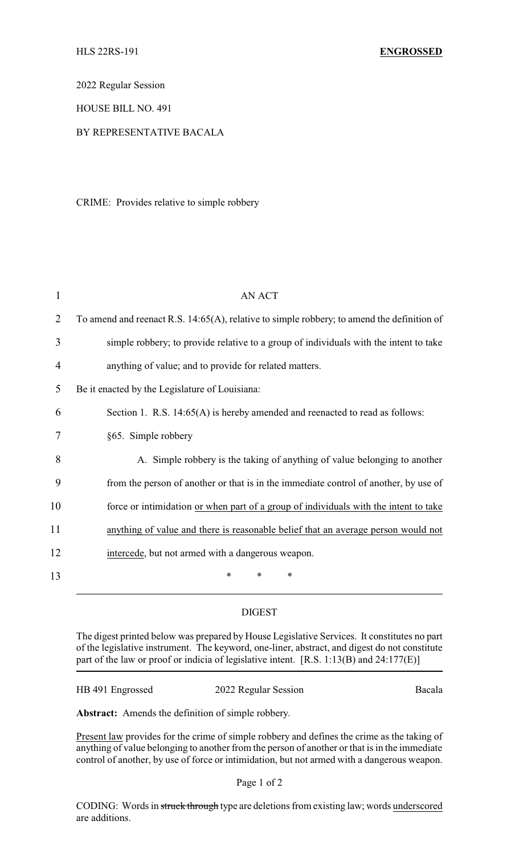2022 Regular Session

HOUSE BILL NO. 491

## BY REPRESENTATIVE BACALA

CRIME: Provides relative to simple robbery

| 1  | AN ACT                                                                                     |
|----|--------------------------------------------------------------------------------------------|
| 2  | To amend and reenact R.S. 14:65(A), relative to simple robbery; to amend the definition of |
| 3  | simple robbery; to provide relative to a group of individuals with the intent to take      |
| 4  | anything of value; and to provide for related matters.                                     |
| 5  | Be it enacted by the Legislature of Louisiana:                                             |
| 6  | Section 1. R.S. 14:65(A) is hereby amended and reenacted to read as follows:               |
| 7  | §65. Simple robbery                                                                        |
| 8  | A. Simple robbery is the taking of anything of value belonging to another                  |
| 9  | from the person of another or that is in the immediate control of another, by use of       |
| 10 | force or intimidation or when part of a group of individuals with the intent to take       |
| 11 | anything of value and there is reasonable belief that an average person would not          |
| 12 | intercede, but not armed with a dangerous weapon.                                          |
| 13 | $\ast$<br>*<br>*                                                                           |

## DIGEST

The digest printed below was prepared by House Legislative Services. It constitutes no part of the legislative instrument. The keyword, one-liner, abstract, and digest do not constitute part of the law or proof or indicia of legislative intent. [R.S. 1:13(B) and 24:177(E)]

HB 491 Engrossed 2022 Regular Session Bacala

**Abstract:** Amends the definition of simple robbery.

Present law provides for the crime of simple robbery and defines the crime as the taking of anything of value belonging to another from the person of another or that is in the immediate control of another, by use of force or intimidation, but not armed with a dangerous weapon.

Page 1 of 2

CODING: Words in struck through type are deletions from existing law; words underscored are additions.